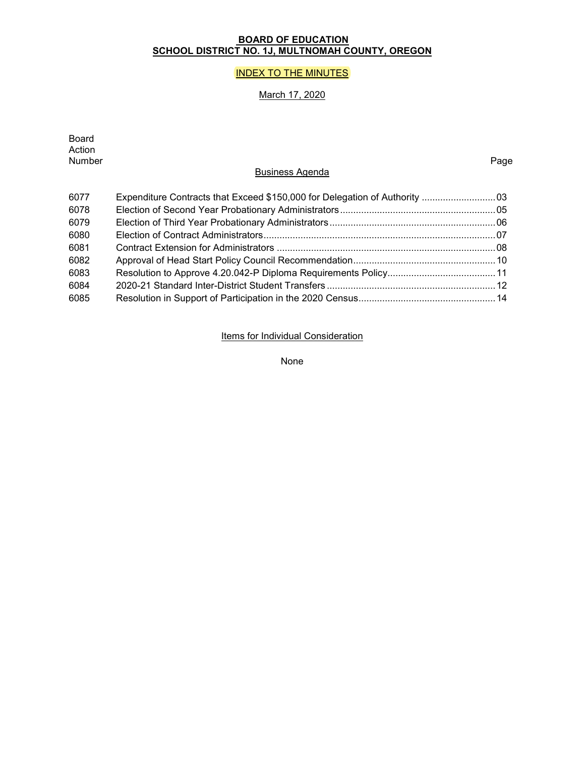# **BOARD OF EDUCATION SCHOOL DISTRICT NO. 1J, MULTNOMAH COUNTY, OREGON**

# **INDEX TO THE MINUTES**

# March 17, 2020

| Board<br>Action<br>Number | <b>Business Agenda</b>                                                      | Page |
|---------------------------|-----------------------------------------------------------------------------|------|
| 6077                      | Expenditure Contracts that Exceed \$150,000 for Delegation of Authority  03 |      |
| 6078                      |                                                                             |      |
| 6079                      |                                                                             |      |
| 6080                      |                                                                             |      |
| 6081                      |                                                                             |      |
| 6082                      |                                                                             |      |
| 6083                      |                                                                             |      |
| 6084                      |                                                                             |      |
| 6085                      |                                                                             |      |
|                           |                                                                             |      |

Items for Individual Consideration

None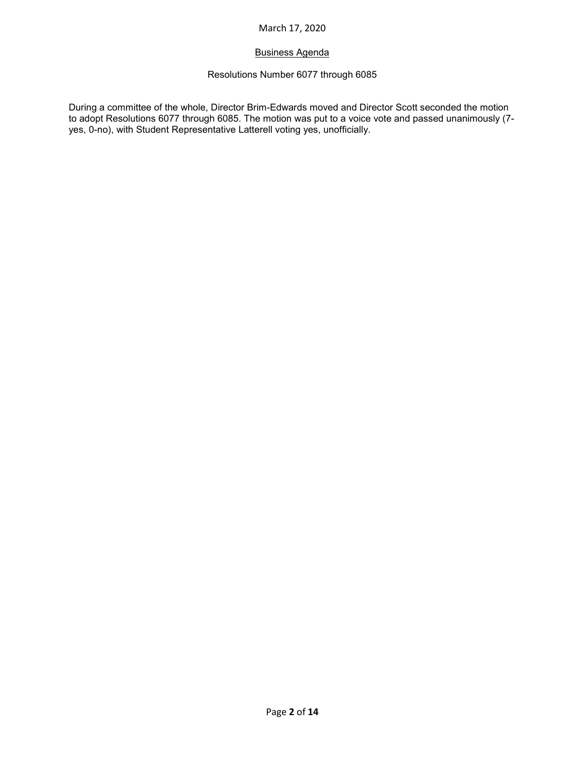# Business Agenda

# Resolutions Number 6077 through 6085

During a committee of the whole, Director Brim-Edwards moved and Director Scott seconded the motion to adopt Resolutions 6077 through 6085. The motion was put to a voice vote and passed unanimously (7 yes, 0-no), with Student Representative Latterell voting yes, unofficially.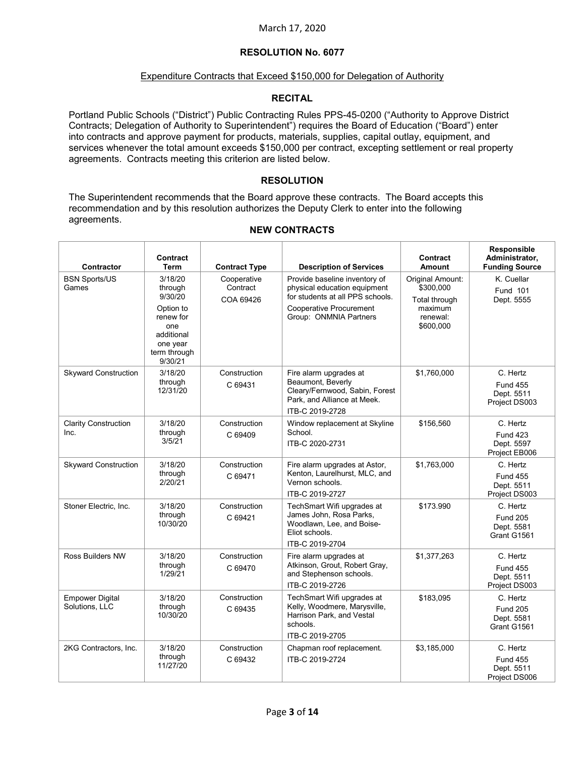## Expenditure Contracts that Exceed \$150,000 for Delegation of Authority

#### **RECITAL**

Portland Public Schools ("District") Public Contracting Rules PPS-45-0200 ("Authority to Approve District Contracts; Delegation of Authority to Superintendent") requires the Board of Education ("Board") enter into contracts and approve payment for products, materials, supplies, capital outlay, equipment, and services whenever the total amount exceeds \$150,000 per contract, excepting settlement or real property agreements. Contracts meeting this criterion are listed below.

## **RESOLUTION**

The Superintendent recommends that the Board approve these contracts. The Board accepts this recommendation and by this resolution authorizes the Deputy Clerk to enter into the following agreements.

#### **Contractor Contract Term Contract Type Description of Services Contract Amount Responsible Administrator, Funding Source** BSN Sports/US Games 3/18/20 through 9/30/20 Option to renew for one additional one year term through 9/30/21 Cooperative **Contract** COA 69426 Provide baseline inventory of physical education equipment for students at all PPS schools. Cooperative Procurement Group: ONMNIA Partners Original Amount: \$300,000 Total through maximum renewal: \$600,000 K. Cuellar Fund 101 Dept. 5555 Skyward Construction | 3/18/20 through 12/31/20 Construction C 69431 Fire alarm upgrades at Beaumont, Beverly Cleary/Fernwood, Sabin, Forest Park, and Alliance at Meek. ITB-C 2019-2728 \$1,760,000 C. Hertz Fund 455 Dept. 5511 Project DS003 Clarity Construction Inc. 3/18/20 through 3/5/21 Construction  $C.69409$ Window replacement at Skyline **School**. ITB-C 2020-2731 \$156,560 C. Hertz Fund 423 Dept. 5597 Project EB006 Skyward Construction 3/18/20 through 2/20/21 **Construction** C 69471 Fire alarm upgrades at Astor, Kenton, Laurelhurst, MLC, and Vernon schools. ITB-C 2019-2727 \$1,763,000 C. Hertz Fund 455 Dept. 5511 Project DS003 Stoner Electric, Inc. | 3/18/20 through 10/30/20 **Construction** C 69421 TechSmart Wifi upgrades at James John, Rosa Parks, Woodlawn, Lee, and Boise-Eliot schools. ITB-C 2019-2704 \$173.990 C. Hertz Fund 205 Dept. 5581 Grant G1561 Ross Builders NW 3/18/20 through 1/29/21 Construction C 69470 Fire alarm upgrades at Atkinson, Grout, Robert Gray, and Stephenson schools. ITB-C 2019-2726 \$1,377,263 C. Hertz Fund 455 Dept. 5511 Project DS003 Empower Digital Solutions, LLC 3/18/20 through 10/30/20 Construction C 69435 TechSmart Wifi upgrades at Kelly, Woodmere, Marysville, Harrison Park, and Vestal schools. ITB-C 2019-2705 \$183,095 C. Hertz Fund 205 Dept. 5581 Grant G1561 2KG Contractors, Inc. | 3/18/20 through 11/27/20 Construction C 69432 Chapman roof replacement. ITB-C 2019-2724 \$3,185,000 C. Hertz Fund 455 Dept. 5511

#### **NEW CONTRACTS**

Project DS006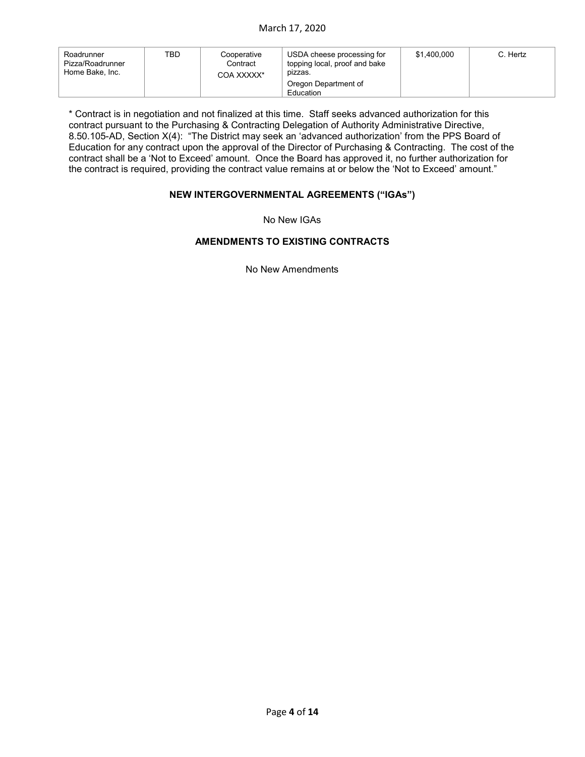| Roadrunner<br>Pizza/Roadrunner<br>Home Bake, Inc. | TBD | Cooperative<br>Contract<br>COA XXXXX* | USDA cheese processing for<br>topping local, proof and bake<br>pizzas. | \$1.400.000 | C. Hertz |
|---------------------------------------------------|-----|---------------------------------------|------------------------------------------------------------------------|-------------|----------|
|                                                   |     |                                       | Oregon Department of<br>Education                                      |             |          |

\* Contract is in negotiation and not finalized at this time. Staff seeks advanced authorization for this contract pursuant to the Purchasing & Contracting Delegation of Authority Administrative Directive, 8.50.105-AD, Section X(4): "The District may seek an 'advanced authorization' from the PPS Board of Education for any contract upon the approval of the Director of Purchasing & Contracting. The cost of the contract shall be a 'Not to Exceed' amount. Once the Board has approved it, no further authorization for the contract is required, providing the contract value remains at or below the 'Not to Exceed' amount."

## **NEW INTERGOVERNMENTAL AGREEMENTS ("IGAs")**

No New IGAs

# **AMENDMENTS TO EXISTING CONTRACTS**

No New Amendments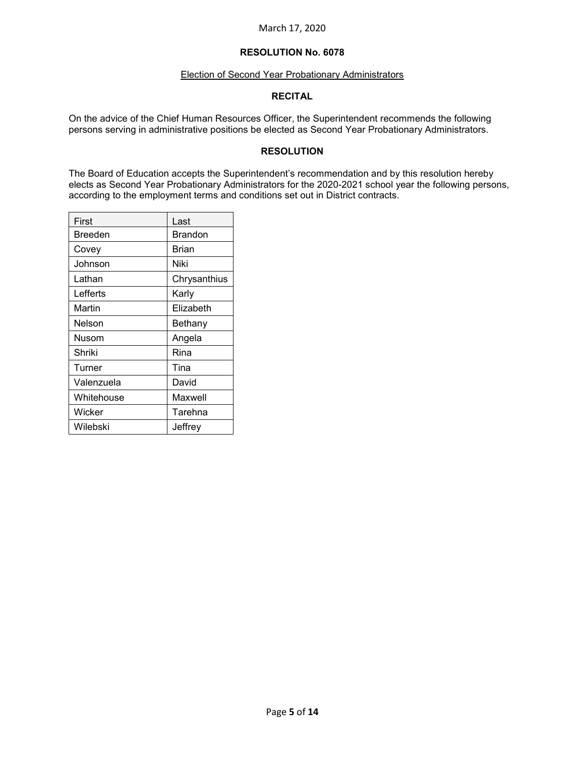# **RESOLUTION No. 6078**

#### Election of Second Year Probationary Administrators

### **RECITAL**

On the advice of the Chief Human Resources Officer, the Superintendent recommends the following persons serving in administrative positions be elected as Second Year Probationary Administrators.

## **RESOLUTION**

The Board of Education accepts the Superintendent's recommendation and by this resolution hereby elects as Second Year Probationary Administrators for the 2020-2021 school year the following persons, according to the employment terms and conditions set out in District contracts.

| First      | Last         |
|------------|--------------|
| Breeden    | Brandon      |
| Covey      | Brian        |
| Johnson    | Niki         |
| Lathan     | Chrysanthius |
| Lefferts   | Karly        |
| Martin     | Elizabeth    |
| Nelson     | Bethany      |
| Nusom      | Angela       |
| Shriki     | Rina         |
| Turner     | Tina         |
| Valenzuela | David        |
| Whitehouse | Maxwell      |
| Wicker     | Tarehna      |
| Wilebski   | Jeffrey      |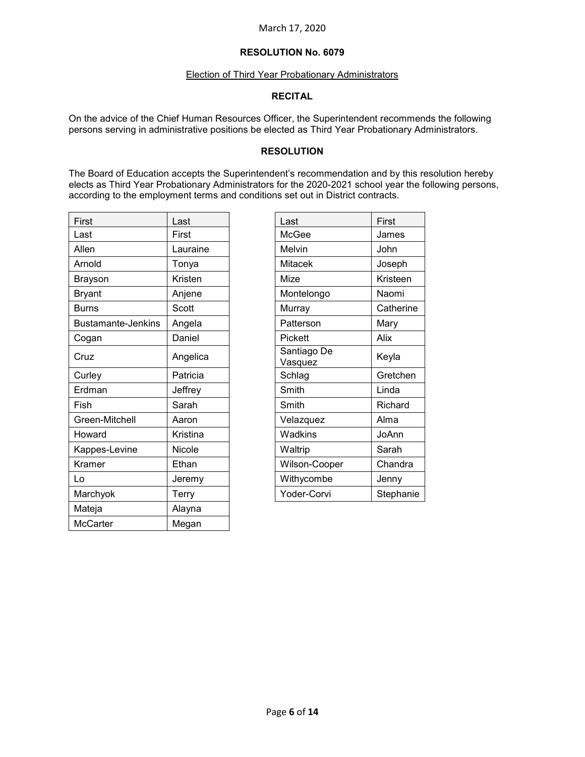#### Election of Third Year Probationary Administrators

### **RECITAL**

On the advice of the Chief Human Resources Officer, the Superintendent recommends the following persons serving in administrative positions be elected as Third Year Probationary Administrators.

## **RESOLUTION**

The Board of Education accepts the Superintendent's recommendation and by this resolution hereby elects as Third Year Probationary Administrators for the 2020-2021 school year the following persons, according to the employment terms and conditions set out in District contracts.

| First                     | Last     | Last                   | First     |
|---------------------------|----------|------------------------|-----------|
| Last                      | First    | McGee                  | James     |
| Allen                     | Lauraine | Melvin                 | John      |
| Arnold                    | Tonya    | <b>Mitacek</b>         | Joseph    |
| <b>Brayson</b>            | Kristen  | Mize                   | Kristeen  |
| <b>Bryant</b>             | Anjene   | Montelongo             | Naomi     |
| <b>Burns</b>              | Scott    | Murray                 | Catherine |
| <b>Bustamante-Jenkins</b> | Angela   | Patterson              | Mary      |
| Cogan                     | Daniel   | Pickett                | Alix      |
| Cruz                      | Angelica | Santiago De<br>Vasquez | Keyla     |
| Curley                    | Patricia | Schlag                 | Gretchen  |
| Erdman                    | Jeffrey  | Smith                  | Linda     |
| Fish                      | Sarah    | Smith                  | Richard   |
| Green-Mitchell            | Aaron    | Velazquez              | Alma      |
| Howard                    | Kristina | Wadkins                | JoAnn     |
| Kappes-Levine             | Nicole   | Waltrip                | Sarah     |
| Kramer                    | Ethan    | Wilson-Cooper          | Chandra   |
| Lo                        | Jeremy   | Withycombe             | Jenny     |
| Marchyok                  | Terry    | Yoder-Corvi            | Stephanie |
| Mateja                    | Alayna   |                        |           |
| <b>McCarter</b>           | Megan    |                        |           |
|                           |          |                        |           |

| Last          | First     |
|---------------|-----------|
| McGee         | James     |
| Melvin        | John      |
| Mitacek       | Joseph    |
| Mize          | Kristeen  |
| Montelongo    | Naomi     |
| Murray        | Catherine |
| Patterson     | Mary      |
| Pickett       | Alix      |
| Santiago De   | Keyla     |
| Vasquez       |           |
| Schlag        | Gretchen  |
| Smith         | Linda     |
| Smith         | Richard   |
| Velazquez     | Alma      |
| Wadkins       | JoAnn     |
| Waltrip       | Sarah     |
| Wilson-Cooper | Chandra   |
| Withycombe    | Jenny     |
| Yoder-Corvi   | Stephanie |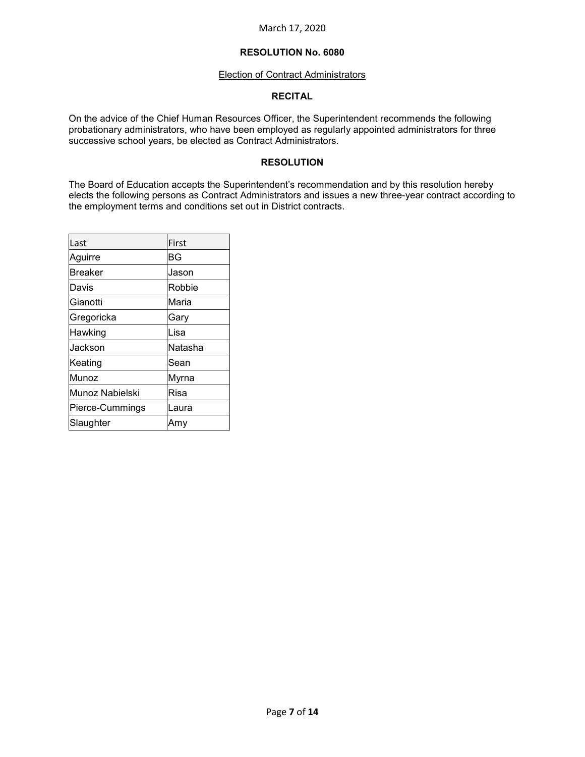#### Election of Contract Administrators

#### **RECITAL**

On the advice of the Chief Human Resources Officer, the Superintendent recommends the following probationary administrators, who have been employed as regularly appointed administrators for three successive school years, be elected as Contract Administrators.

## **RESOLUTION**

The Board of Education accepts the Superintendent's recommendation and by this resolution hereby elects the following persons as Contract Administrators and issues a new three-year contract according to the employment terms and conditions set out in District contracts.

| Last            | First   |
|-----------------|---------|
| Aguirre         | BG      |
| <b>Breaker</b>  | Jason   |
| Davis           | Robbie  |
| Gianotti        | Maria   |
| Gregoricka      | Gary    |
| Hawking         | Lisa    |
| Jackson         | Natasha |
| Keating         | Sean    |
| Munoz           | Myrna   |
| Munoz Nabielski | Risa    |
| Pierce-Cummings | Laura   |
| Slaughter       | Amy     |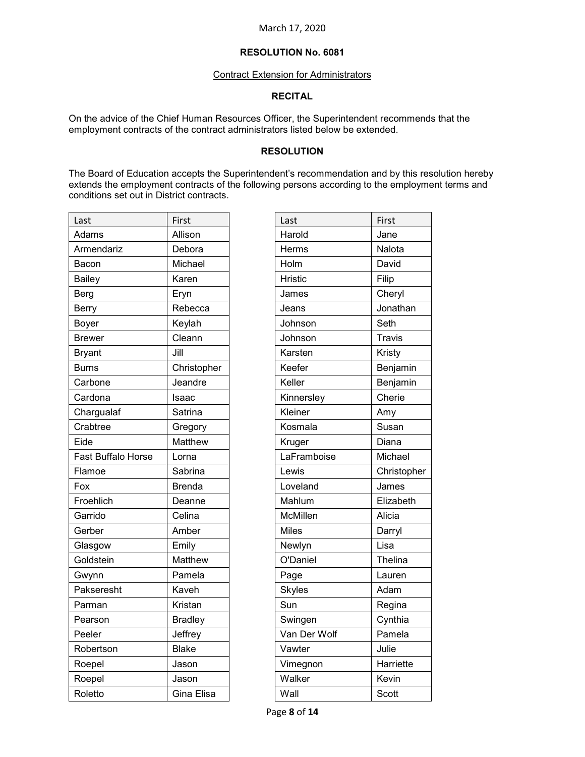#### Contract Extension for Administrators

#### **RECITAL**

On the advice of the Chief Human Resources Officer, the Superintendent recommends that the employment contracts of the contract administrators listed below be extended.

#### **RESOLUTION**

The Board of Education accepts the Superintendent's recommendation and by this resolution hereby extends the employment contracts of the following persons according to the employment terms and conditions set out in District contracts.

| Last                      | First          | Last          | First         |
|---------------------------|----------------|---------------|---------------|
| Adams                     | Allison        | Harold        | Jane          |
| Armendariz                | Debora         | Herms         | Nalota        |
| Bacon                     | Michael        | Holm          | David         |
| <b>Bailey</b>             | Karen          | Hristic       | Filip         |
| <b>Berg</b>               | Eryn           | James         | Cheryl        |
| <b>Berry</b>              | Rebecca        | Jeans         | Jonathan      |
| Boyer                     | Keylah         | Johnson       | Seth          |
| <b>Brewer</b>             | Cleann         | Johnson       | <b>Travis</b> |
| <b>Bryant</b>             | Jill           | Karsten       | Kristy        |
| <b>Burns</b>              | Christopher    | Keefer        | Benjamin      |
| Carbone                   | Jeandre        | Keller        | Benjamin      |
| Cardona                   | Isaac          | Kinnersley    | Cherie        |
| Chargualaf                | Satrina        | Kleiner       | Amy           |
| Crabtree                  | Gregory        | Kosmala       | Susan         |
| Eide                      | Matthew        | Kruger        | Diana         |
| <b>Fast Buffalo Horse</b> | Lorna          | LaFramboise   | Michael       |
| Flamoe                    | Sabrina        | Lewis         | Christopher   |
| Fox                       | <b>Brenda</b>  | Loveland      | James         |
| Froehlich                 | Deanne         | Mahlum        | Elizabeth     |
| Garrido                   | Celina         | McMillen      | Alicia        |
| Gerber                    | Amber          | <b>Miles</b>  | Darryl        |
| Glasgow                   | Emily          | Newlyn        | Lisa          |
| Goldstein                 | Matthew        | O'Daniel      | Thelina       |
| Gwynn                     | Pamela         | Page          | Lauren        |
| Pakseresht                | Kaveh          | <b>Skyles</b> | Adam          |
| Parman                    | Kristan        | Sun           | Regina        |
| Pearson                   | <b>Bradley</b> | Swingen       | Cynthia       |
| Peeler                    | Jeffrey        | Van Der Wolf  | Pamela        |
| Robertson                 | <b>Blake</b>   | Vawter        | Julie         |
| Roepel                    | Jason          | Vimegnon      | Harriette     |
| Roepel                    | Jason          | Walker        | Kevin         |
| Roletto                   | Gina Elisa     | Wall          | Scott         |
|                           |                |               |               |

| Last           | First         |
|----------------|---------------|
| Harold         | Jane          |
| Herms          | Nalota        |
| Holm           | David         |
| <b>Hristic</b> | Filip         |
| James          | Cheryl        |
| Jeans          | Jonathan      |
| Johnson        | Seth          |
| Johnson        | <b>Travis</b> |
| Karsten        | Kristy        |
| Keefer         | Benjamin      |
| Keller         | Benjamin      |
| Kinnersley     | Cherie        |
| Kleiner        | Amy           |
| Kosmala        | Susan         |
| Kruger         | Diana         |
| LaFramboise    | Michael       |
| Lewis          | Christopher   |
| Loveland       | James         |
| Mahlum         | Elizabeth     |
| McMillen       | Alicia        |
| <b>Miles</b>   | Darryl        |
| Newlyn         | Lisa          |
| O'Daniel       | Thelina       |
| Page           | Lauren        |
| <b>Skyles</b>  | Adam          |
| Sun            | Regina        |
| Swingen        | Cynthia       |
| Van Der Wolf   | Pamela        |
| Vawter         | Julie         |
| Vimegnon       | Harriette     |
| Walker         | Kevin         |
| Wall           | Scott         |

Page **8** of **14**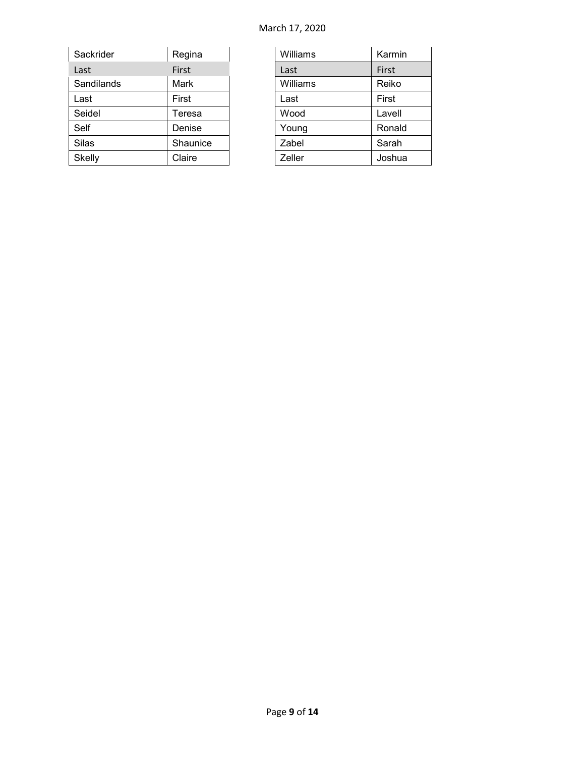| Sackrider  | Regina   | Williams | Karmin |
|------------|----------|----------|--------|
| Last       | First    | Last     | First  |
| Sandilands | Mark     | Williams | Reiko  |
| Last       | First    | Last     | First  |
| Seidel     | Teresa   | Wood     | Lavell |
| Self       | Denise   | Young    | Ronald |
| Silas      | Shaunice | Zabel    | Sarah  |
| Skelly     | Claire   | Zeller   | Joshua |

| Williams | Karmin |
|----------|--------|
| Last     | First  |
| Williams | Reiko  |
| Last     | First  |
| Wood     | Lavell |
| Young    | Ronald |
| Zabel    | Sarah  |
| Zeller   | Joshua |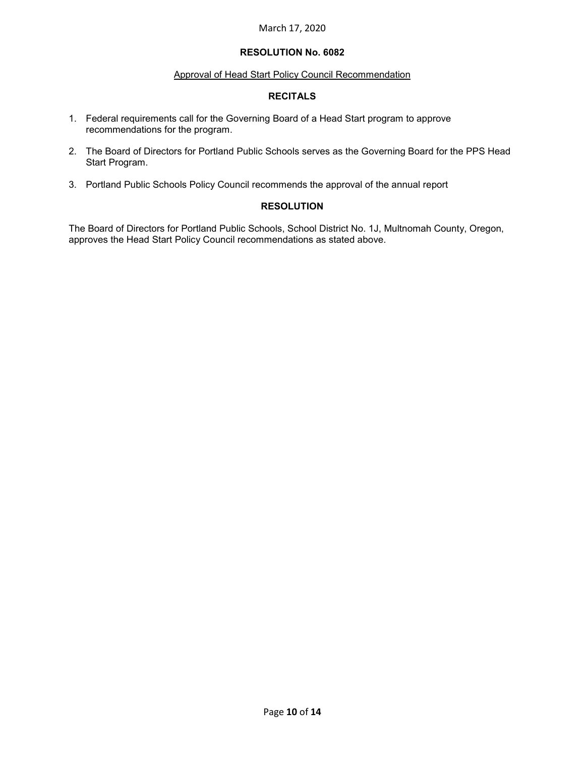# **RESOLUTION No. 6082**

## Approval of Head Start Policy Council Recommendation

# **RECITALS**

- 1. Federal requirements call for the Governing Board of a Head Start program to approve recommendations for the program.
- 2. The Board of Directors for Portland Public Schools serves as the Governing Board for the PPS Head Start Program.
- 3. Portland Public Schools Policy Council recommends the approval of the annual report

# **RESOLUTION**

The Board of Directors for Portland Public Schools, School District No. 1J, Multnomah County, Oregon, approves the Head Start Policy Council recommendations as stated above.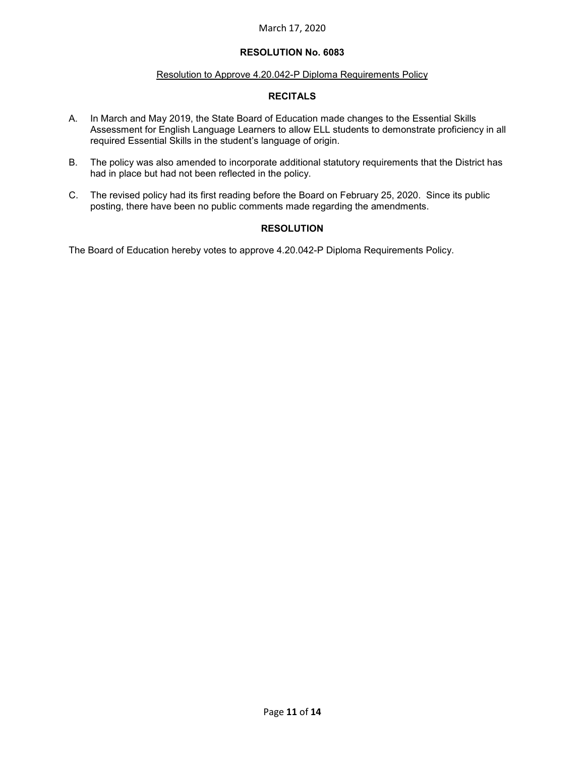# **RESOLUTION No. 6083**

### Resolution to Approve 4.20.042-P Diploma Requirements Policy

# **RECITALS**

- A. In March and May 2019, the State Board of Education made changes to the Essential Skills Assessment for English Language Learners to allow ELL students to demonstrate proficiency in all required Essential Skills in the student's language of origin.
- B. The policy was also amended to incorporate additional statutory requirements that the District has had in place but had not been reflected in the policy.
- C. The revised policy had its first reading before the Board on February 25, 2020. Since its public posting, there have been no public comments made regarding the amendments.

# **RESOLUTION**

The Board of Education hereby votes to approve 4.20.042-P Diploma Requirements Policy.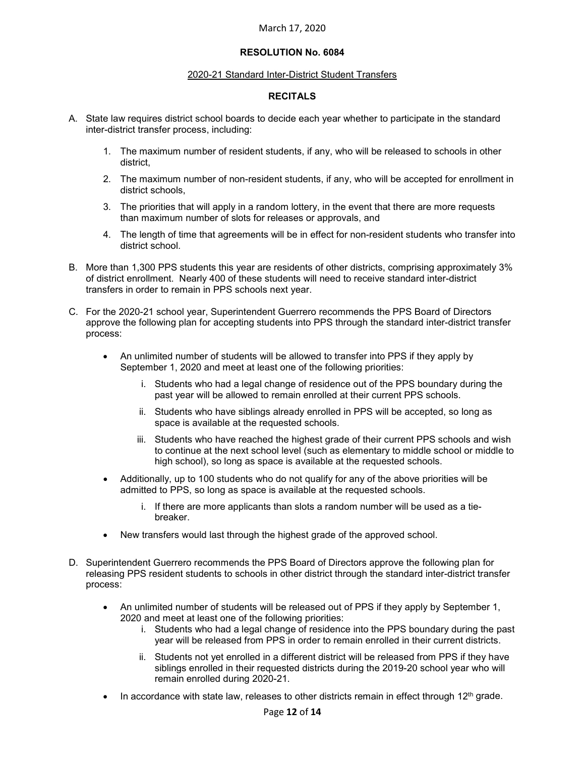# **RESOLUTION No. 6084**

#### 2020-21 Standard Inter-District Student Transfers

## **RECITALS**

- A. State law requires district school boards to decide each year whether to participate in the standard inter-district transfer process, including:
	- 1. The maximum number of resident students, if any, who will be released to schools in other district,
	- 2. The maximum number of non-resident students, if any, who will be accepted for enrollment in district schools,
	- 3. The priorities that will apply in a random lottery, in the event that there are more requests than maximum number of slots for releases or approvals, and
	- 4. The length of time that agreements will be in effect for non-resident students who transfer into district school.
- B. More than 1,300 PPS students this year are residents of other districts, comprising approximately 3% of district enrollment. Nearly 400 of these students will need to receive standard inter-district transfers in order to remain in PPS schools next year.
- C. For the 2020-21 school year, Superintendent Guerrero recommends the PPS Board of Directors approve the following plan for accepting students into PPS through the standard inter-district transfer process:
	- An unlimited number of students will be allowed to transfer into PPS if they apply by September 1, 2020 and meet at least one of the following priorities:
		- i. Students who had a legal change of residence out of the PPS boundary during the past year will be allowed to remain enrolled at their current PPS schools.
		- ii. Students who have siblings already enrolled in PPS will be accepted, so long as space is available at the requested schools.
		- iii. Students who have reached the highest grade of their current PPS schools and wish to continue at the next school level (such as elementary to middle school or middle to high school), so long as space is available at the requested schools.
	- Additionally, up to 100 students who do not qualify for any of the above priorities will be admitted to PPS, so long as space is available at the requested schools.
		- i. If there are more applicants than slots a random number will be used as a tiebreaker.
	- New transfers would last through the highest grade of the approved school.
- D. Superintendent Guerrero recommends the PPS Board of Directors approve the following plan for releasing PPS resident students to schools in other district through the standard inter-district transfer process:
	- An unlimited number of students will be released out of PPS if they apply by September 1, 2020 and meet at least one of the following priorities:
		- i. Students who had a legal change of residence into the PPS boundary during the past year will be released from PPS in order to remain enrolled in their current districts.
		- ii. Students not yet enrolled in a different district will be released from PPS if they have siblings enrolled in their requested districts during the 2019-20 school year who will remain enrolled during 2020-21.
	- In accordance with state law, releases to other districts remain in effect through  $12<sup>th</sup>$  grade.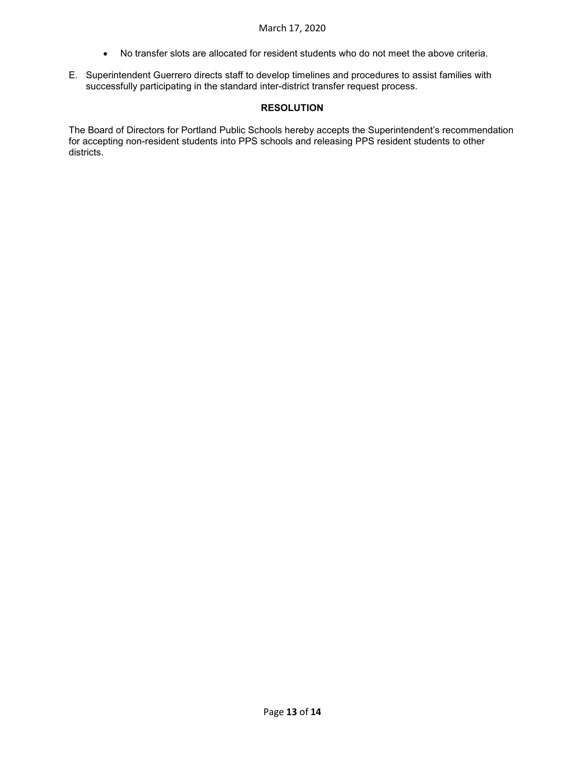- No transfer slots are allocated for resident students who do not meet the above criteria.
- E. Superintendent Guerrero directs staff to develop timelines and procedures to assist families with successfully participating in the standard inter-district transfer request process.

# **RESOLUTION**

The Board of Directors for Portland Public Schools hereby accepts the Superintendent's recommendation for accepting non-resident students into PPS schools and releasing PPS resident students to other districts.